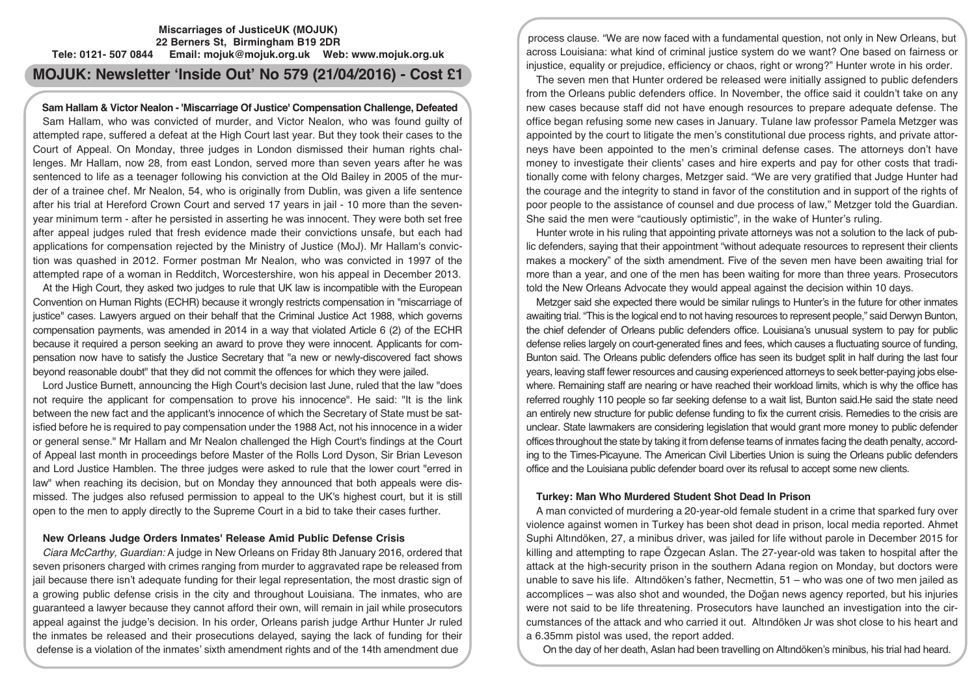# **Miscarriages of JusticeUK (MOJUK) 22 Berners St, Birmingham B19 2DR Tele: 0121- 507 0844 Email: mojuk@mojuk.org.uk Web: www.mojuk.org.uk**

# **MOJUK: Newsletter 'Inside Out' No 579 (21/04/2016) - Cost £1**

# **Sam Hallam & Victor Nealon - 'Miscarriage Of Justice' Compensation Challenge, Defeated**

Sam Hallam, who was convicted of murder, and Victor Nealon, who was found guilty of attempted rape, suffered a defeat at the High Court last year. But they took their cases to the Court of Appeal. On Monday, three judges in London dismissed their human rights challenges. Mr Hallam, now 28, from east London, served more than seven years after he was sentenced to life as a teenager following his conviction at the Old Bailey in 2005 of the murder of a trainee chef. Mr Nealon, 54, who is originally from Dublin, was given a life sentence after his trial at Hereford Crown Court and served 17 years in jail - 10 more than the sevenyear minimum term - after he persisted in asserting he was innocent. They were both set free after appeal judges ruled that fresh evidence made their convictions unsafe, but each had applications for compensation rejected by the Ministry of Justice (MoJ). Mr Hallam's conviction was quashed in 2012. Former postman Mr Nealon, who was convicted in 1997 of the attempted rape of a woman in Redditch, Worcestershire, won his appeal in December 2013.

At the High Court, they asked two judges to rule that UK law is incompatible with the European Convention on Human Rights (ECHR) because it wrongly restricts compensation in ''miscarriage of justice'' cases. Lawyers argued on their behalf that the Criminal Justice Act 1988, which governs compensation payments, was amended in 2014 in a way that violated Article 6 (2) of the ECHR because it required a person seeking an award to prove they were innocent. Applicants for compensation now have to satisfy the Justice Secretary that "a new or newly-discovered fact shows beyond reasonable doubt" that they did not commit the offences for which they were jailed.

Lord Justice Burnett, announcing the High Court's decision last June, ruled that the law "does not require the applicant for compensation to prove his innocence". He said: "It is the link between the new fact and the applicant's innocence of which the Secretary of State must be satisfied before he is required to pay compensation under the 1988 Act, not his innocence in a wider or general sense." Mr Hallam and Mr Nealon challenged the High Court's findings at the Court of Appeal last month in proceedings before Master of the Rolls Lord Dyson, Sir Brian Leveson and Lord Justice Hamblen. The three judges were asked to rule that the lower court "erred in law" when reaching its decision, but on Monday they announced that both appeals were dismissed. The judges also refused permission to appeal to the UK's highest court, but it is still open to the men to apply directly to the Supreme Court in a bid to take their cases further.

## **New Orleans Judge Orders Inmates' Release Amid Public Defense Crisis**

*Ciara McCarthy, Guardian:* A judge in New Orleans on Friday 8th January 2016, ordered that seven prisoners charged with crimes ranging from murder to aggravated rape be released from jail because there isn't adequate funding for their legal representation, the most drastic sign of a growing public defense crisis in the city and throughout Louisiana. The inmates, who are guaranteed a lawyer because they cannot afford their own, will remain in jail while prosecutors appeal against the judge's decision. In his order, Orleans parish judge Arthur Hunter Jr ruled the inmates be released and their prosecutions delayed, saying the lack of funding for their defense is a violation of the inmates' sixth amendment rights and of the 14th amendment due

process clause. "We are now faced with a fundamental question, not only in New Orleans, but across Louisiana: what kind of criminal justice system do we want? One based on fairness or injustice, equality or prejudice, efficiency or chaos, right or wrong?" Hunter wrote in his order.

The seven men that Hunter ordered be released were initially assigned to public defenders from the Orleans public defenders office. In November, the office said it couldn't take on any new cases because staff did not have enough resources to prepare adequate defense. The office began refusing some new cases in January. Tulane law professor Pamela Metzger was appointed by the court to litigate the men's constitutional due process rights, and private attorneys have been appointed to the men's criminal defense cases. The attorneys don't have money to investigate their clients' cases and hire experts and pay for other costs that traditionally come with felony charges, Metzger said. "We are very gratified that Judge Hunter had the courage and the integrity to stand in favor of the constitution and in support of the rights of poor people to the assistance of counsel and due process of law," Metzger told the Guardian. She said the men were "cautiously optimistic", in the wake of Hunter's ruling.

Hunter wrote in his ruling that appointing private attorneys was not a solution to the lack of public defenders, saying that their appointment "without adequate resources to represent their clients makes a mockery" of the sixth amendment. Five of the seven men have been awaiting trial for more than a year, and one of the men has been waiting for more than three years. Prosecutors told the New Orleans Advocate they would appeal against the decision within 10 days.

Metzger said she expected there would be similar rulings to Hunter's in the future for other inmates awaiting trial. "This is the logical end to not having resources to represent people," said Derwyn Bunton, the chief defender of Orleans public defenders office. Louisiana's unusual system to pay for public defense relies largely on court-generated fines and fees, which causes a fluctuating source of funding, Bunton said. The Orleans public defenders office has seen its budget split in half during the last four years, leaving staff fewer resources and causing experienced attorneys to seek better-paying jobs elsewhere. Remaining staff are nearing or have reached their workload limits, which is why the office has referred roughly 110 people so far seeking defense to a wait list, Bunton said.He said the state need an entirely new structure for public defense funding to fix the current crisis. Remedies to the crisis are unclear. State lawmakers are considering legislation that would grant more money to public defender offices throughout the state by taking it from defense teams of inmates facing the death penalty, according to the Times-Picayune. The American Civil Liberties Union is suing the Orleans public defenders office and the Louisiana public defender board over its refusal to accept some new clients.

#### **Turkey: Man Who Murdered Student Shot Dead In Prison**

A man convicted of murdering a 20-year-old female student in a crime that sparked fury over violence against women in Turkey has been shot dead in prison, local media reported. Ahmet Suphi Altındöken, 27, a minibus driver, was jailed for life without parole in December 2015 for killing and attempting to rape Özgecan Aslan. The 27-year-old was taken to hospital after the attack at the high-security prison in the southern Adana region on Monday, but doctors were unable to save his life. Altındöken's father, Necmettin, 51 – who was one of two men jailed as accomplices – was also shot and wounded, the Doğan news agency reported, but his injuries were not said to be life threatening. Prosecutors have launched an investigation into the circumstances of the attack and who carried it out. Altındöken Jr was shot close to his heart and a 6.35mm pistol was used, the report added.

On the day of her death, Aslan had been travelling on Altındöken's minibus, his trial had heard.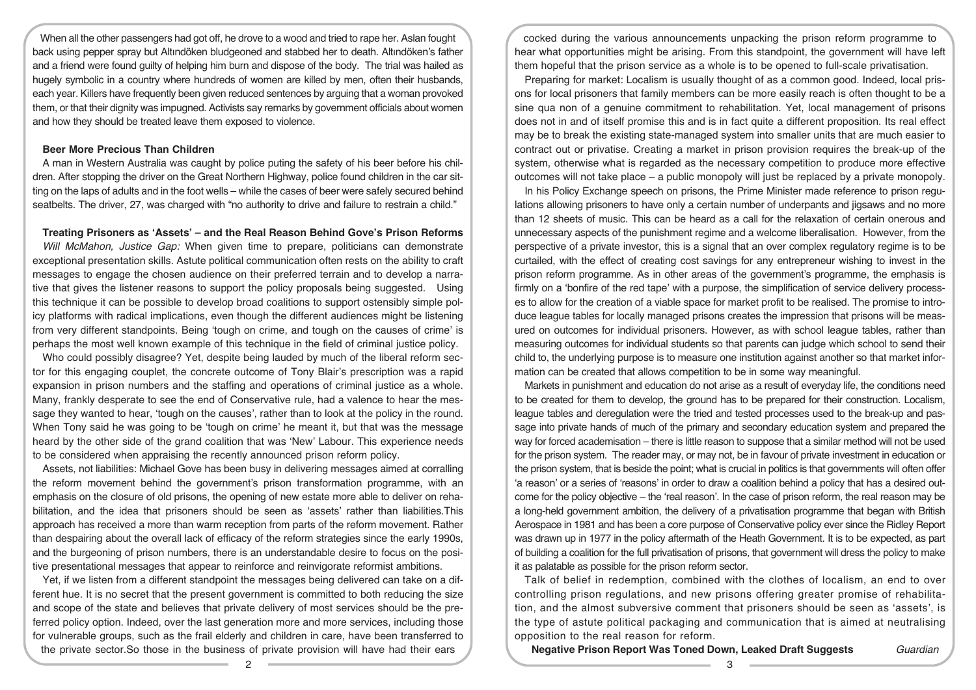When all the other passengers had got off, he drove to a wood and tried to rape her. Aslan fought back using pepper spray but Altındöken bludgeoned and stabbed her to death. Altındöken's father and a friend were found guilty of helping him burn and dispose of the body. The trial was hailed as hugely symbolic in a country where hundreds of women are killed by men, often their husbands, each year. Killers have frequently been given reduced sentences by arguing that a woman provoked them, or that their dignity was impugned. Activists say remarks by government officials about women and how they should be treated leave them exposed to violence.

# **Beer More Precious Than Children**

A man in Western Australia was caught by police puting the safety of his beer before his children. After stopping the driver on the Great Northern Highway, police found children in the car sitting on the laps of adults and in the foot wells – while the cases of beer were safely secured behind seatbelts. The driver, 27, was charged with "no authority to drive and failure to restrain a child."

# **Treating Prisoners as 'Assets' – and the Real Reason Behind Gove's Prison Reforms**

*Will McMahon, Justice Gap:* When given time to prepare, politicians can demonstrate exceptional presentation skills. Astute political communication often rests on the ability to craft messages to engage the chosen audience on their preferred terrain and to develop a narrative that gives the listener reasons to support the policy proposals being suggested. Using this technique it can be possible to develop broad coalitions to support ostensibly simple policy platforms with radical implications, even though the different audiences might be listening from very different standpoints. Being 'tough on crime, and tough on the causes of crime' is perhaps the most well known example of this technique in the field of criminal justice policy.

Who could possibly disagree? Yet, despite being lauded by much of the liberal reform sector for this engaging couplet, the concrete outcome of Tony Blair's prescription was a rapid expansion in prison numbers and the staffing and operations of criminal justice as a whole. Many, frankly desperate to see the end of Conservative rule, had a valence to hear the message they wanted to hear, 'tough on the causes', rather than to look at the policy in the round. When Tony said he was going to be 'tough on crime' he meant it, but that was the message heard by the other side of the grand coalition that was 'New' Labour. This experience needs to be considered when appraising the recently announced prison reform policy.

Assets, not liabilities: Michael Gove has been busy in delivering messages aimed at corralling the reform movement behind the government's prison transformation programme, with an emphasis on the closure of old prisons, the opening of new estate more able to deliver on rehabilitation, and the idea that prisoners should be seen as 'assets' rather than liabilities.This approach has received a more than warm reception from parts of the reform movement. Rather than despairing about the overall lack of efficacy of the reform strategies since the early 1990s, and the burgeoning of prison numbers, there is an understandable desire to focus on the positive presentational messages that appear to reinforce and reinvigorate reformist ambitions.

Yet, if we listen from a different standpoint the messages being delivered can take on a different hue. It is no secret that the present government is committed to both reducing the size and scope of the state and believes that private delivery of most services should be the preferred policy option. Indeed, over the last generation more and more services, including those for vulnerable groups, such as the frail elderly and children in care, have been transferred to the private sector.So those in the business of private provision will have had their ears

cocked during the various announcements unpacking the prison reform programme to hear what opportunities might be arising. From this standpoint, the government will have left them hopeful that the prison service as a whole is to be opened to full-scale privatisation.

Preparing for market: Localism is usually thought of as a common good. Indeed, local prisons for local prisoners that family members can be more easily reach is often thought to be a sine qua non of a genuine commitment to rehabilitation. Yet, local management of prisons does not in and of itself promise this and is in fact quite a different proposition. Its real effect may be to break the existing state-managed system into smaller units that are much easier to contract out or privatise. Creating a market in prison provision requires the break-up of the system, otherwise what is regarded as the necessary competition to produce more effective outcomes will not take place – a public monopoly will just be replaced by a private monopoly.

In his Policy Exchange speech on prisons, the Prime Minister made reference to prison regulations allowing prisoners to have only a certain number of underpants and jigsaws and no more than 12 sheets of music. This can be heard as a call for the relaxation of certain onerous and unnecessary aspects of the punishment regime and a welcome liberalisation. However, from the perspective of a private investor, this is a signal that an over complex regulatory regime is to be curtailed, with the effect of creating cost savings for any entrepreneur wishing to invest in the prison reform programme. As in other areas of the government's programme, the emphasis is firmly on a 'bonfire of the red tape' with a purpose, the simplification of service delivery processes to allow for the creation of a viable space for market profit to be realised. The promise to introduce league tables for locally managed prisons creates the impression that prisons will be measured on outcomes for individual prisoners. However, as with school league tables, rather than measuring outcomes for individual students so that parents can judge which school to send their child to, the underlying purpose is to measure one institution against another so that market information can be created that allows competition to be in some way meaningful.

Markets in punishment and education do not arise as a result of everyday life, the conditions need to be created for them to develop, the ground has to be prepared for their construction. Localism, league tables and deregulation were the tried and tested processes used to the break-up and passage into private hands of much of the primary and secondary education system and prepared the way for forced academisation – there is little reason to suppose that a similar method will not be used for the prison system. The reader may, or may not, be in favour of private investment in education or the prison system, that is beside the point; what is crucial in politics is that governments will often offer 'a reason' or a series of 'reasons' in order to draw a coalition behind a policy that has a desired outcome for the policy objective – the 'real reason'. In the case of prison reform, the real reason may be a long-held government ambition, the delivery of a privatisation programme that began with British Aerospace in 1981 and has been a core purpose of Conservative policy ever since the Ridley Report was drawn up in 1977 in the policy aftermath of the Heath Government. It is to be expected, as part of building a coalition for the full privatisation of prisons, that government will dress the policy to make it as palatable as possible for the prison reform sector.

Talk of belief in redemption, combined with the clothes of localism, an end to over controlling prison regulations, and new prisons offering greater promise of rehabilitation, and the almost subversive comment that prisoners should be seen as 'assets', is the type of astute political packaging and communication that is aimed at neutralising opposition to the real reason for reform.

**Negative Prison Report Was Toned Down, Leaked Draft Suggests** *Guardian*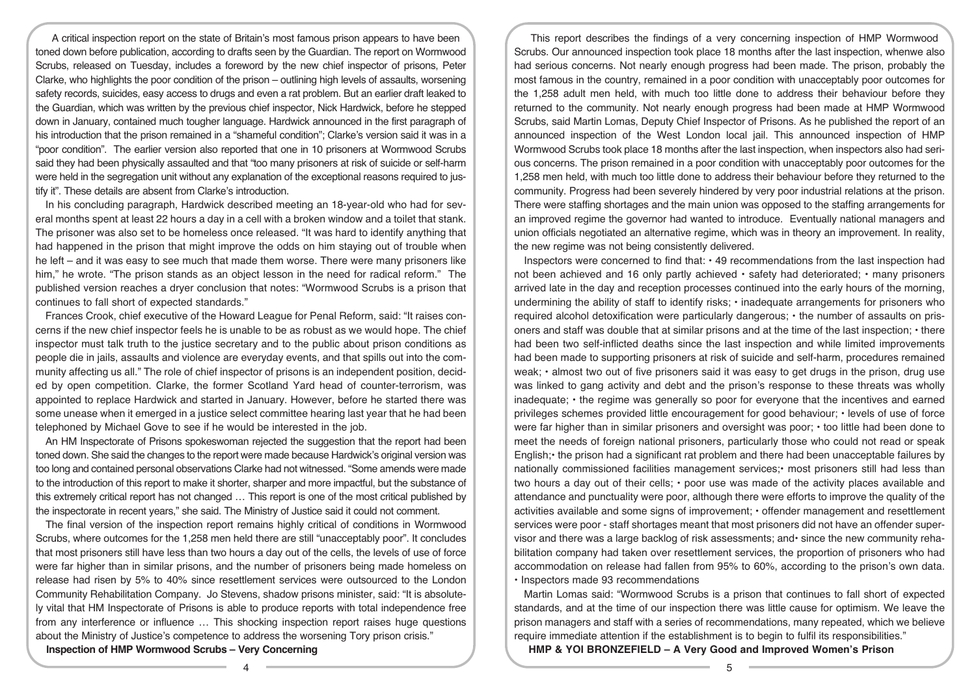A critical inspection report on the state of Britain's most famous prison appears to have been toned down before publication, according to drafts seen by the Guardian. The report on Wormwood Scrubs, released on Tuesday, includes a foreword by the new chief inspector of prisons, Peter Clarke, who highlights the poor condition of the prison – outlining high levels of assaults, worsening safety records, suicides, easy access to drugs and even a rat problem. But an earlier draft leaked to the Guardian, which was written by the previous chief inspector, Nick Hardwick, before he stepped down in January, contained much tougher language. Hardwick announced in the first paragraph of his introduction that the prison remained in a "shameful condition"; Clarke's version said it was in a "poor condition". The earlier version also reported that one in 10 prisoners at Wormwood Scrubs said they had been physically assaulted and that "too many prisoners at risk of suicide or self-harm were held in the segregation unit without any explanation of the exceptional reasons required to justify it". These details are absent from Clarke's introduction.

In his concluding paragraph, Hardwick described meeting an 18-year-old who had for several months spent at least 22 hours a day in a cell with a broken window and a toilet that stank. The prisoner was also set to be homeless once released. "It was hard to identify anything that had happened in the prison that might improve the odds on him staying out of trouble when he left – and it was easy to see much that made them worse. There were many prisoners like him," he wrote. "The prison stands as an object lesson in the need for radical reform." The published version reaches a dryer conclusion that notes: "Wormwood Scrubs is a prison that continues to fall short of expected standards."

Frances Crook, chief executive of the Howard League for Penal Reform, said: "It raises concerns if the new chief inspector feels he is unable to be as robust as we would hope. The chief inspector must talk truth to the justice secretary and to the public about prison conditions as people die in jails, assaults and violence are everyday events, and that spills out into the community affecting us all." The role of chief inspector of prisons is an independent position, decided by open competition. Clarke, the former Scotland Yard head of counter-terrorism, was appointed to replace Hardwick and started in January. However, before he started there was some unease when it emerged in a justice select committee hearing last year that he had been telephoned by Michael Gove to see if he would be interested in the job.

An HM Inspectorate of Prisons spokeswoman rejected the suggestion that the report had been toned down. She said the changes to the report were made because Hardwick's original version was too long and contained personal observations Clarke had not witnessed. "Some amends were made to the introduction of this report to make it shorter, sharper and more impactful, but the substance of this extremely critical report has not changed … This report is one of the most critical published by the inspectorate in recent years," she said. The Ministry of Justice said it could not comment.

The final version of the inspection report remains highly critical of conditions in Wormwood Scrubs, where outcomes for the 1,258 men held there are still "unacceptably poor". It concludes that most prisoners still have less than two hours a day out of the cells, the levels of use of force were far higher than in similar prisons, and the number of prisoners being made homeless on release had risen by 5% to 40% since resettlement services were outsourced to the London Community Rehabilitation Company. Jo Stevens, shadow prisons minister, said: "It is absolutely vital that HM Inspectorate of Prisons is able to produce reports with total independence free from any interference or influence … This shocking inspection report raises huge questions about the Ministry of Justice's competence to address the worsening Tory prison crisis."

**Inspection of HMP Wormwood Scrubs – Very Concerning**

This report describes the findings of a very concerning inspection of HMP Wormwood Scrubs. Our announced inspection took place 18 months after the last inspection, whenwe also had serious concerns. Not nearly enough progress had been made. The prison, probably the most famous in the country, remained in a poor condition with unacceptably poor outcomes for the 1,258 adult men held, with much too little done to address their behaviour before they returned to the community. Not nearly enough progress had been made at HMP Wormwood Scrubs, said Martin Lomas, Deputy Chief Inspector of Prisons. As he published the report of an announced inspection of the West London local jail. This announced inspection of HMP Wormwood Scrubs took place 18 months after the last inspection, when inspectors also had serious concerns. The prison remained in a poor condition with unacceptably poor outcomes for the 1,258 men held, with much too little done to address their behaviour before they returned to the community. Progress had been severely hindered by very poor industrial relations at the prison. There were staffing shortages and the main union was opposed to the staffing arrangements for an improved regime the governor had wanted to introduce. Eventually national managers and union officials negotiated an alternative regime, which was in theory an improvement. In reality, the new regime was not being consistently delivered.

Inspectors were concerned to find that: • 49 recommendations from the last inspection had not been achieved and 16 only partly achieved • safety had deteriorated; • many prisoners arrived late in the day and reception processes continued into the early hours of the morning, undermining the ability of staff to identify risks; • inadequate arrangements for prisoners who required alcohol detoxification were particularly dangerous; • the number of assaults on prisoners and staff was double that at similar prisons and at the time of the last inspection; • there had been two self-inflicted deaths since the last inspection and while limited improvements had been made to supporting prisoners at risk of suicide and self-harm, procedures remained weak; • almost two out of five prisoners said it was easy to get drugs in the prison, drug use was linked to gang activity and debt and the prison's response to these threats was wholly inadequate; • the regime was generally so poor for everyone that the incentives and earned privileges schemes provided little encouragement for good behaviour; • levels of use of force were far higher than in similar prisoners and oversight was poor; • too little had been done to meet the needs of foreign national prisoners, particularly those who could not read or speak English;• the prison had a significant rat problem and there had been unacceptable failures by nationally commissioned facilities management services;• most prisoners still had less than two hours a day out of their cells; • poor use was made of the activity places available and attendance and punctuality were poor, although there were efforts to improve the quality of the activities available and some signs of improvement; • offender management and resettlement services were poor - staff shortages meant that most prisoners did not have an offender supervisor and there was a large backlog of risk assessments; and• since the new community rehabilitation company had taken over resettlement services, the proportion of prisoners who had accommodation on release had fallen from 95% to 60%, according to the prison's own data. • Inspectors made 93 recommendations

Martin Lomas said: "Wormwood Scrubs is a prison that continues to fall short of expected standards, and at the time of our inspection there was little cause for optimism. We leave the prison managers and staff with a series of recommendations, many repeated, which we believe require immediate attention if the establishment is to begin to fulfil its responsibilities."

**HMP & YOI BRONZEFIELD – A Very Good and Improved Women's Prison**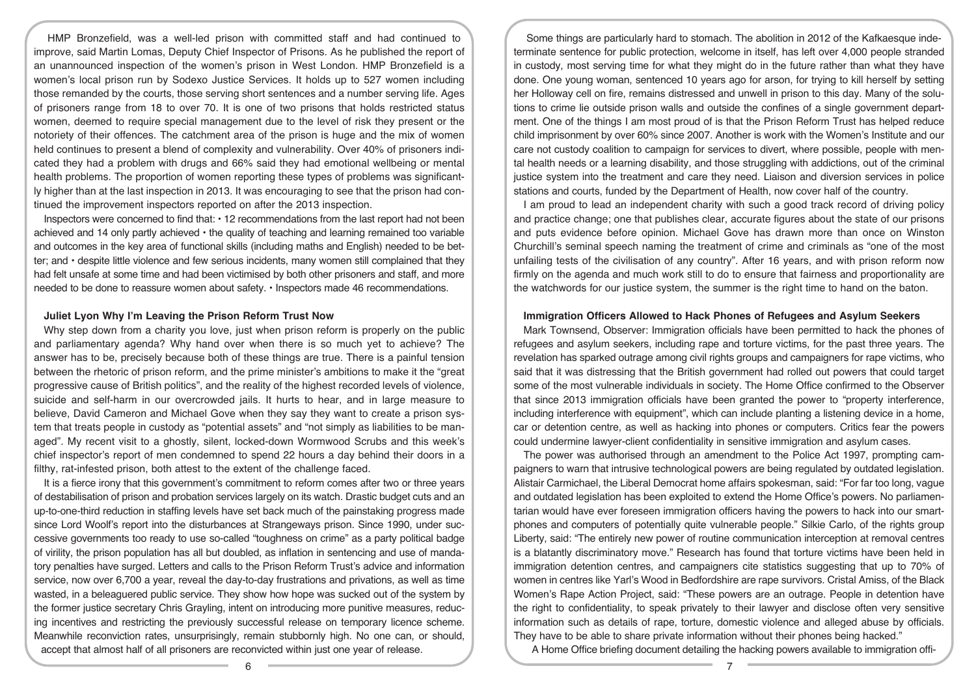HMP Bronzefield, was a well-led prison with committed staff and had continued to improve, said Martin Lomas, Deputy Chief Inspector of Prisons. As he published the report of an unannounced inspection of the women's prison in West London. HMP Bronzefield is a women's local prison run by Sodexo Justice Services. It holds up to 527 women including those remanded by the courts, those serving short sentences and a number serving life. Ages of prisoners range from 18 to over 70. It is one of two prisons that holds restricted status women, deemed to require special management due to the level of risk they present or the notoriety of their offences. The catchment area of the prison is huge and the mix of women held continues to present a blend of complexity and vulnerability. Over 40% of prisoners indicated they had a problem with drugs and 66% said they had emotional wellbeing or mental health problems. The proportion of women reporting these types of problems was significantly higher than at the last inspection in 2013. It was encouraging to see that the prison had continued the improvement inspectors reported on after the 2013 inspection.

Inspectors were concerned to find that:  $\cdot$  12 recommendations from the last report had not been achieved and 14 only partly achieved • the quality of teaching and learning remained too variable and outcomes in the key area of functional skills (including maths and English) needed to be better; and • despite little violence and few serious incidents, many women still complained that they had felt unsafe at some time and had been victimised by both other prisoners and staff, and more needed to be done to reassure women about safety. • Inspectors made 46 recommendations.

#### **Juliet Lyon Why I'm Leaving the Prison Reform Trust Now**

Why step down from a charity you love, just when prison reform is properly on the public and parliamentary agenda? Why hand over when there is so much yet to achieve? The answer has to be, precisely because both of these things are true. There is a painful tension between the rhetoric of prison reform, and the prime minister's ambitions to make it the "great progressive cause of British politics", and the reality of the highest recorded levels of violence, suicide and self-harm in our overcrowded jails. It hurts to hear, and in large measure to believe, David Cameron and Michael Gove when they say they want to create a prison system that treats people in custody as "potential assets" and "not simply as liabilities to be managed". My recent visit to a ghostly, silent, locked-down Wormwood Scrubs and this week's chief inspector's report of men condemned to spend 22 hours a day behind their doors in a filthy, rat-infested prison, both attest to the extent of the challenge faced.

It is a fierce irony that this government's commitment to reform comes after two or three years of destabilisation of prison and probation services largely on its watch. Drastic budget cuts and an up-to-one-third reduction in staffing levels have set back much of the painstaking progress made since Lord Woolf's report into the disturbances at Strangeways prison. Since 1990, under successive governments too ready to use so-called "toughness on crime" as a party political badge of virility, the prison population has all but doubled, as inflation in sentencing and use of mandatory penalties have surged. Letters and calls to the Prison Reform Trust's advice and information service, now over 6,700 a year, reveal the day-to-day frustrations and privations, as well as time wasted, in a beleaguered public service. They show how hope was sucked out of the system by the former justice secretary Chris Grayling, intent on introducing more punitive measures, reducing incentives and restricting the previously successful release on temporary licence scheme. Meanwhile reconviction rates, unsurprisingly, remain stubbornly high. No one can, or should, accept that almost half of all prisoners are reconvicted within just one year of release.

Some things are particularly hard to stomach. The abolition in 2012 of the Kafkaesque indeterminate sentence for public protection, welcome in itself, has left over 4,000 people stranded in custody, most serving time for what they might do in the future rather than what they have done. One young woman, sentenced 10 years ago for arson, for trying to kill herself by setting her Holloway cell on fire, remains distressed and unwell in prison to this day. Many of the solutions to crime lie outside prison walls and outside the confines of a single government department. One of the things I am most proud of is that the Prison Reform Trust has helped reduce child imprisonment by over 60% since 2007. Another is work with the Women's Institute and our care not custody coalition to campaign for services to divert, where possible, people with mental health needs or a learning disability, and those struggling with addictions, out of the criminal justice system into the treatment and care they need. Liaison and diversion services in police stations and courts, funded by the Department of Health, now cover half of the country.

I am proud to lead an independent charity with such a good track record of driving policy and practice change; one that publishes clear, accurate figures about the state of our prisons and puts evidence before opinion. Michael Gove has drawn more than once on Winston Churchill's seminal speech naming the treatment of crime and criminals as "one of the most unfailing tests of the civilisation of any country". After 16 years, and with prison reform now firmly on the agenda and much work still to do to ensure that fairness and proportionality are the watchwords for our justice system, the summer is the right time to hand on the baton.

#### **Immigration Officers Allowed to Hack Phones of Refugees and Asylum Seekers**

Mark Townsend, Observer: Immigration officials have been permitted to hack the phones of refugees and asylum seekers, including rape and torture victims, for the past three years. The revelation has sparked outrage among civil rights groups and campaigners for rape victims, who said that it was distressing that the British government had rolled out powers that could target some of the most vulnerable individuals in society. The Home Office confirmed to the Observer that since 2013 immigration officials have been granted the power to "property interference, including interference with equipment", which can include planting a listening device in a home, car or detention centre, as well as hacking into phones or computers. Critics fear the powers could undermine lawyer-client confidentiality in sensitive immigration and asylum cases.

The power was authorised through an amendment to the Police Act 1997, prompting campaigners to warn that intrusive technological powers are being regulated by outdated legislation. Alistair Carmichael, the Liberal Democrat home affairs spokesman, said: "For far too long, vague and outdated legislation has been exploited to extend the Home Office's powers. No parliamentarian would have ever foreseen immigration officers having the powers to hack into our smartphones and computers of potentially quite vulnerable people." Silkie Carlo, of the rights group Liberty, said: "The entirely new power of routine communication interception at removal centres is a blatantly discriminatory move." Research has found that torture victims have been held in immigration detention centres, and campaigners cite statistics suggesting that up to 70% of women in centres like Yarl's Wood in Bedfordshire are rape survivors. Cristal Amiss, of the Black Women's Rape Action Project, said: "These powers are an outrage. People in detention have the right to confidentiality, to speak privately to their lawyer and disclose often very sensitive information such as details of rape, torture, domestic violence and alleged abuse by officials. They have to be able to share private information without their phones being hacked."

A Home Office briefing document detailing the hacking powers available to immigration offi-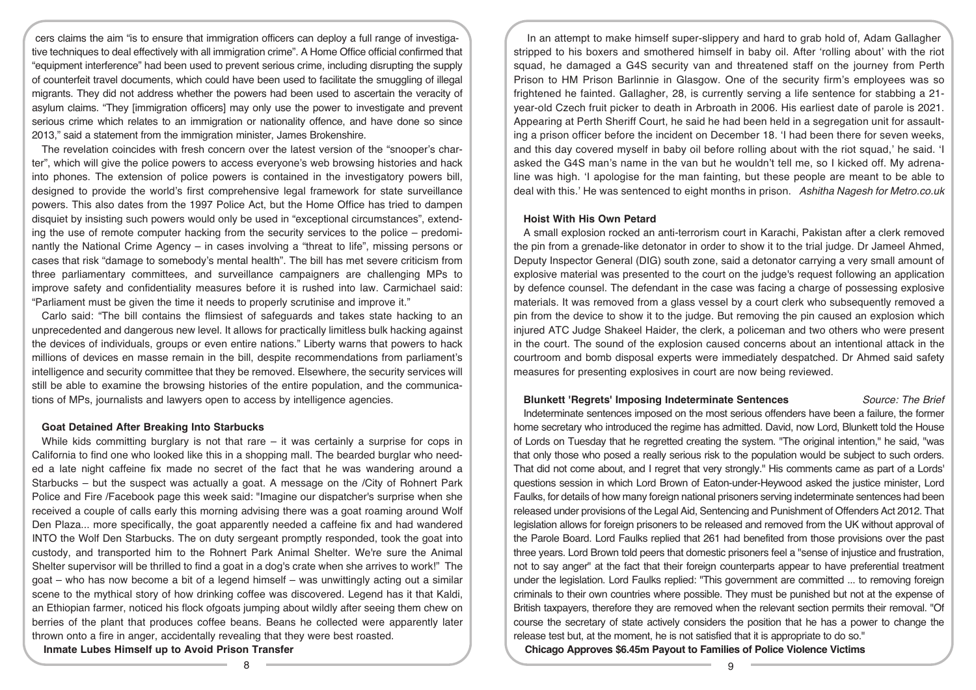cers claims the aim "is to ensure that immigration officers can deploy a full range of investigative techniques to deal effectively with all immigration crime". A Home Office official confirmed that "equipment interference" had been used to prevent serious crime, including disrupting the supply of counterfeit travel documents, which could have been used to facilitate the smuggling of illegal migrants. They did not address whether the powers had been used to ascertain the veracity of asylum claims. "They [immigration officers] may only use the power to investigate and prevent serious crime which relates to an immigration or nationality offence, and have done so since 2013," said a statement from the immigration minister, James Brokenshire.

The revelation coincides with fresh concern over the latest version of the "snooper's charter", which will give the police powers to access everyone's web browsing histories and hack into phones. The extension of police powers is contained in the investigatory powers bill, designed to provide the world's first comprehensive legal framework for state surveillance powers. This also dates from the 1997 Police Act, but the Home Office has tried to dampen disquiet by insisting such powers would only be used in "exceptional circumstances", extending the use of remote computer hacking from the security services to the police – predominantly the National Crime Agency – in cases involving a "threat to life", missing persons or cases that risk "damage to somebody's mental health". The bill has met severe criticism from three parliamentary committees, and surveillance campaigners are challenging MPs to improve safety and confidentiality measures before it is rushed into law. Carmichael said: "Parliament must be given the time it needs to properly scrutinise and improve it."

Carlo said: "The bill contains the flimsiest of safeguards and takes state hacking to an unprecedented and dangerous new level. It allows for practically limitless bulk hacking against the devices of individuals, groups or even entire nations." Liberty warns that powers to hack millions of devices en masse remain in the bill, despite recommendations from parliament's intelligence and security committee that they be removed. Elsewhere, the security services will still be able to examine the browsing histories of the entire population, and the communications of MPs, journalists and lawyers open to access by intelligence agencies.

# **Goat Detained After Breaking Into Starbucks**

While kids committing burglary is not that rare  $-$  it was certainly a surprise for cops in California to find one who looked like this in a shopping mall. The bearded burglar who needed a late night caffeine fix made no secret of the fact that he was wandering around a Starbucks – but the suspect was actually a goat. A message on the /City of Rohnert Park Police and Fire /Facebook page this week said: "Imagine our dispatcher's surprise when she received a couple of calls early this morning advising there was a goat roaming around Wolf Den Plaza... more specifically, the goat apparently needed a caffeine fix and had wandered INTO the Wolf Den Starbucks. The on duty sergeant promptly responded, took the goat into custody, and transported him to the Rohnert Park Animal Shelter. We're sure the Animal Shelter supervisor will be thrilled to find a goat in a dog's crate when she arrives to work!" The goat – who has now become a bit of a legend himself – was unwittingly acting out a similar scene to the mythical story of how drinking coffee was discovered. Legend has it that Kaldi, an Ethiopian farmer, noticed his flock ofgoats jumping about wildly after seeing them chew on berries of the plant that produces coffee beans. Beans he collected were apparently later thrown onto a fire in anger, accidentally revealing that they were best roasted.

**Inmate Lubes Himself up to Avoid Prison Transfer**

In an attempt to make himself super-slippery and hard to grab hold of, Adam Gallagher stripped to his boxers and smothered himself in baby oil. After 'rolling about' with the riot squad, he damaged a G4S security van and threatened staff on the journey from Perth Prison to HM Prison Barlinnie in Glasgow. One of the security firm's employees was so frightened he fainted. Gallagher, 28, is currently serving a life sentence for stabbing a 21 year-old Czech fruit picker to death in Arbroath in 2006. His earliest date of parole is 2021. Appearing at Perth Sheriff Court, he said he had been held in a segregation unit for assaulting a prison officer before the incident on December 18. 'I had been there for seven weeks, and this day covered myself in baby oil before rolling about with the riot squad,' he said. 'I asked the G4S man's name in the van but he wouldn't tell me, so I kicked off. My adrenaline was high. 'I apologise for the man fainting, but these people are meant to be able to deal with this.' He was sentenced to eight months in prison. *Ashitha Nagesh for Metro.co.uk*

## **Hoist With His Own Petard**

A small explosion rocked an anti-terrorism court in Karachi, Pakistan after a clerk removed the pin from a grenade-like detonator in order to show it to the trial judge. Dr Jameel Ahmed, Deputy Inspector General (DIG) south zone, said a detonator carrying a very small amount of explosive material was presented to the court on the judge's request following an application by defence counsel. The defendant in the case was facing a charge of possessing explosive materials. It was removed from a glass vessel by a court clerk who subsequently removed a pin from the device to show it to the judge. But removing the pin caused an explosion which injured ATC Judge Shakeel Haider, the clerk, a policeman and two others who were present in the court. The sound of the explosion caused concerns about an intentional attack in the courtroom and bomb disposal experts were immediately despatched. Dr Ahmed said safety measures for presenting explosives in court are now being reviewed.

## **Blunkett 'Regrets' Imposing Indeterminate Sentences** *Source: The Brief*

Indeterminate sentences imposed on the most serious offenders have been a failure, the former home secretary who introduced the regime has admitted. David, now Lord, Blunkett told the House of Lords on Tuesday that he regretted creating the system. "The original intention," he said, "was that only those who posed a really serious risk to the population would be subject to such orders. That did not come about, and I regret that very strongly." His comments came as part of a Lords' questions session in which Lord Brown of Eaton-under-Heywood asked the justice minister, Lord Faulks, for details of how many foreign national prisoners serving indeterminate sentences had been released under provisions of the Legal Aid, Sentencing and Punishment of Offenders Act 2012. That legislation allows for foreign prisoners to be released and removed from the UK without approval of the Parole Board. Lord Faulks replied that 261 had benefited from those provisions over the past three years. Lord Brown told peers that domestic prisoners feel a "sense of injustice and frustration, not to say anger" at the fact that their foreign counterparts appear to have preferential treatment under the legislation. Lord Faulks replied: "This government are committed ... to removing foreign criminals to their own countries where possible. They must be punished but not at the expense of British taxpayers, therefore they are removed when the relevant section permits their removal. "Of course the secretary of state actively considers the position that he has a power to change the release test but, at the moment, he is not satisfied that it is appropriate to do so."

**Chicago Approves \$6.45m Payout to Families of Police Violence Victims**

8 9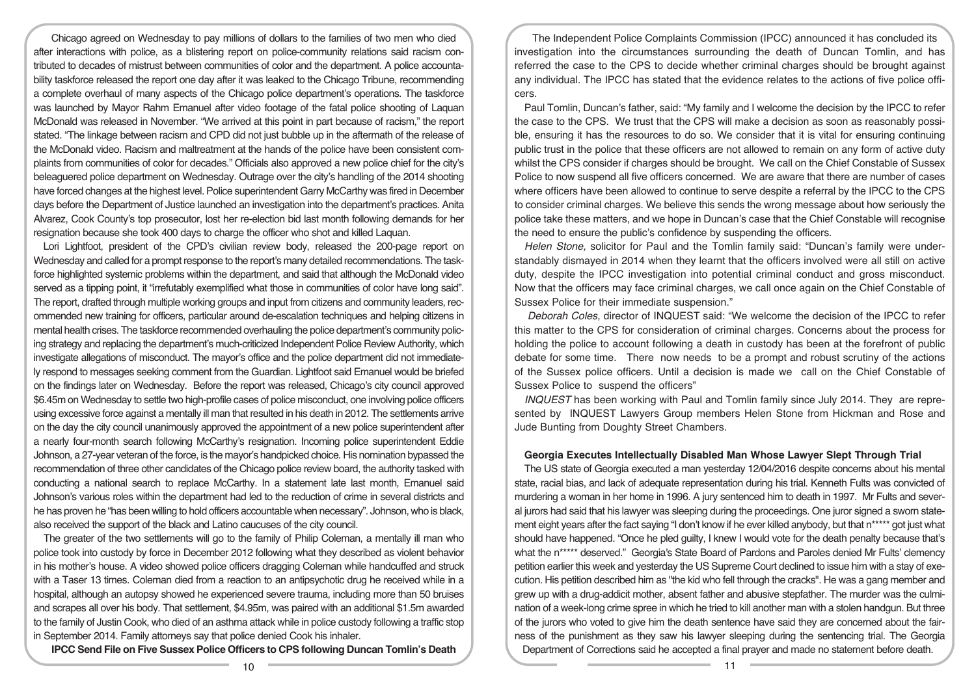Chicago agreed on Wednesday to pay millions of dollars to the families of two men who died after interactions with police, as a blistering report on police-community relations said racism contributed to decades of mistrust between communities of color and the department. A police accountability taskforce released the report one day after it was leaked to the Chicago Tribune, recommending a complete overhaul of many aspects of the Chicago police department's operations. The taskforce was launched by Mayor Rahm Emanuel after video footage of the fatal police shooting of Laquan McDonald was released in November. "We arrived at this point in part because of racism," the report stated. "The linkage between racism and CPD did not just bubble up in the aftermath of the release of the McDonald video. Racism and maltreatment at the hands of the police have been consistent complaints from communities of color for decades." Officials also approved a new police chief for the city's beleaguered police department on Wednesday. Outrage over the city's handling of the 2014 shooting have forced changes at the highest level. Police superintendent Garry McCarthy was fired in December days before the Department of Justice launched an investigation into the department's practices. Anita Alvarez, Cook County's top prosecutor, lost her re-election bid last month following demands for her resignation because she took 400 days to charge the officer who shot and killed Laquan.

Lori Lightfoot, president of the CPD's civilian review body, released the 200-page report on Wednesday and called for a prompt response to the report's many detailed recommendations. The taskforce highlighted systemic problems within the department, and said that although the McDonald video served as a tipping point, it "irrefutably exemplified what those in communities of color have long said". The report, drafted through multiple working groups and input from citizens and community leaders, recommended new training for officers, particular around de-escalation techniques and helping citizens in mental health crises. The taskforce recommended overhauling the police department's community policing strategy and replacing the department's much-criticized Independent Police Review Authority, which investigate allegations of misconduct. The mayor's office and the police department did not immediately respond to messages seeking comment from the Guardian. Lightfoot said Emanuel would be briefed on the findings later on Wednesday. Before the report was released, Chicago's city council approved \$6.45m on Wednesday to settle two high-profile cases of police misconduct, one involving police officers using excessive force against a mentally ill man that resulted in his death in 2012. The settlements arrive on the day the city council unanimously approved the appointment of a new police superintendent after a nearly four-month search following McCarthy's resignation. Incoming police superintendent Eddie Johnson, a 27-year veteran of the force, is the mayor's handpicked choice. His nomination bypassed the recommendation of three other candidates of the Chicago police review board, the authority tasked with conducting a national search to replace McCarthy. In a statement late last month, Emanuel said Johnson's various roles within the department had led to the reduction of crime in several districts and he has proven he "has been willing to hold officers accountable when necessary". Johnson, who is black, also received the support of the black and Latino caucuses of the city council.

The greater of the two settlements will go to the family of Philip Coleman, a mentally ill man who police took into custody by force in December 2012 following what they described as violent behavior in his mother's house. A video showed police officers dragging Coleman while handcuffed and struck with a Taser 13 times. Coleman died from a reaction to an antipsychotic drug he received while in a hospital, although an autopsy showed he experienced severe trauma, including more than 50 bruises and scrapes all over his body. That settlement, \$4.95m, was paired with an additional \$1.5m awarded to the family of Justin Cook, who died of an asthma attack while in police custody following a traffic stop in September 2014. Family attorneys say that police denied Cook his inhaler.

**IPCC Send File on Five Sussex Police Officers to CPS following Duncan Tomlin's Death**

The Independent Police Complaints Commission (IPCC) announced it has concluded its investigation into the circumstances surrounding the death of Duncan Tomlin, and has referred the case to the CPS to decide whether criminal charges should be brought against any individual. The IPCC has stated that the evidence relates to the actions of five police officers.

Paul Tomlin, Duncan's father, said: "My family and I welcome the decision by the IPCC to refer the case to the CPS. We trust that the CPS will make a decision as soon as reasonably possible, ensuring it has the resources to do so. We consider that it is vital for ensuring continuing public trust in the police that these officers are not allowed to remain on any form of active duty whilst the CPS consider if charges should be brought. We call on the Chief Constable of Sussex Police to now suspend all five officers concerned. We are aware that there are number of cases where officers have been allowed to continue to serve despite a referral by the IPCC to the CPS to consider criminal charges. We believe this sends the wrong message about how seriously the police take these matters, and we hope in Duncan's case that the Chief Constable will recognise the need to ensure the public's confidence by suspending the officers.

*Helen Stone,* solicitor for Paul and the Tomlin family said: "Duncan's family were understandably dismayed in 2014 when they learnt that the officers involved were all still on active duty, despite the IPCC investigation into potential criminal conduct and gross misconduct. Now that the officers may face criminal charges, we call once again on the Chief Constable of Sussex Police for their immediate suspension."

*Deborah Coles*, director of INQUEST said: "We welcome the decision of the IPCC to refer this matter to the CPS for consideration of criminal charges. Concerns about the process for holding the police to account following a death in custody has been at the forefront of public debate for some time. There now needs to be a prompt and robust scrutiny of the actions of the Sussex police officers. Until a decision is made we call on the Chief Constable of Sussex Police to suspend the officers"

*INQUEST* has been working with Paul and Tomlin family since July 2014. They are represented by INQUEST Lawyers Group members Helen Stone from Hickman and Rose and Jude Bunting from Doughty Street Chambers.

# **Georgia Executes Intellectually Disabled Man Whose Lawyer Slept Through Trial**

The US state of Georgia executed a man yesterday 12/04/2016 despite concerns about his mental state, racial bias, and lack of adequate representation during his trial. Kenneth Fults was convicted of murdering a woman in her home in 1996. A jury sentenced him to death in 1997. Mr Fults and several jurors had said that his lawyer was sleeping during the proceedings. One juror signed a sworn statement eight years after the fact saying "I don't know if he ever killed anybody, but that n\*\*\*\*\* got just what should have happened. "Once he pled guilty, I knew I would vote for the death penalty because that's what the n\*\*\*\*\* deserved." Georgia's State Board of Pardons and Paroles denied Mr Fults' clemency petition earlier this week and yesterday the US Supreme Court declined to issue him with a stay of execution. His petition described him as "the kid who fell through the cracks". He was a gang member and grew up with a drug-addicit mother, absent father and abusive stepfather. The murder was the culmination of a week-long crime spree in which he tried to kill another man with a stolen handgun. But three of the jurors who voted to give him the death sentence have said they are concerned about the fairness of the punishment as they saw his lawyer sleeping during the sentencing trial. The Georgia Department of Corrections said he accepted a final prayer and made no statement before death.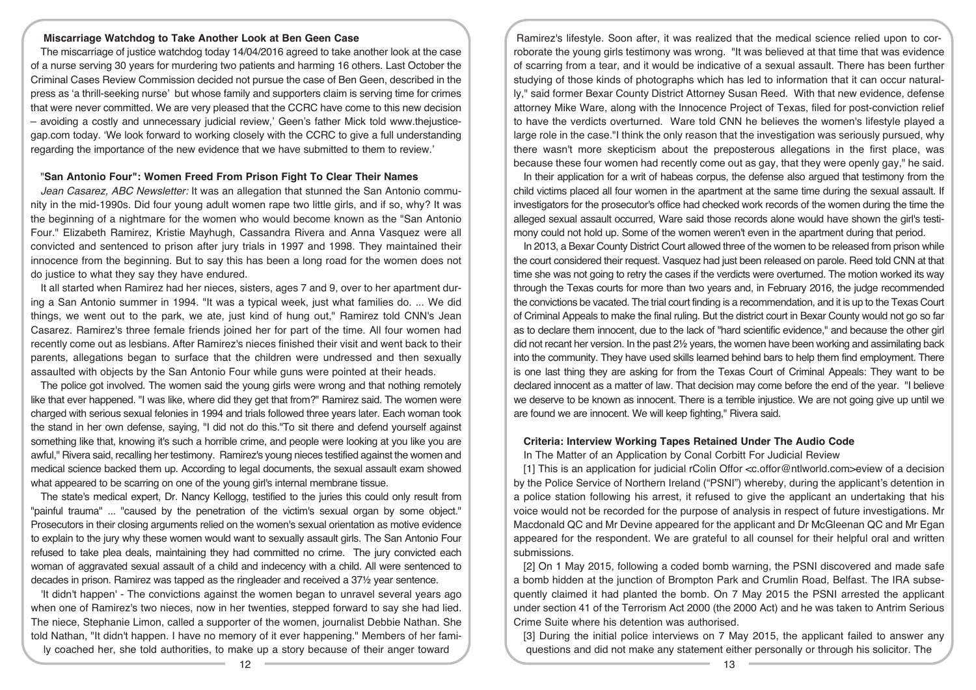#### **Miscarriage Watchdog to Take Another Look at Ben Geen Case**

The miscarriage of justice watchdog today 14/04/2016 agreed to take another look at the case of a nurse serving 30 years for murdering two patients and harming 16 others. Last October the Criminal Cases Review Commission decided not pursue the case of Ben Geen, described in the press as 'a thrill-seeking nurse' but whose family and supporters claim is serving time for crimes that were never committed. We are very pleased that the CCRC have come to this new decision – avoiding a costly and unnecessary judicial review,' Geen's father Mick told www.thejusticegap.com today. 'We look forward to working closely with the CCRC to give a full understanding regarding the importance of the new evidence that we have submitted to them to review.'

#### "**San Antonio Four": Women Freed From Prison Fight To Clear Their Names**

*Jean Casarez, ABC Newsletter:* It was an allegation that stunned the San Antonio community in the mid-1990s. Did four young adult women rape two little girls, and if so, why? It was the beginning of a nightmare for the women who would become known as the "San Antonio Four." Elizabeth Ramirez, Kristie Mayhugh, Cassandra Rivera and Anna Vasquez were all convicted and sentenced to prison after jury trials in 1997 and 1998. They maintained their innocence from the beginning. But to say this has been a long road for the women does not do justice to what they say they have endured.

It all started when Ramirez had her nieces, sisters, ages 7 and 9, over to her apartment during a San Antonio summer in 1994. "It was a typical week, just what families do. ... We did things, we went out to the park, we ate, just kind of hung out," Ramirez told CNN's Jean Casarez. Ramirez's three female friends joined her for part of the time. All four women had recently come out as lesbians. After Ramirez's nieces finished their visit and went back to their parents, allegations began to surface that the children were undressed and then sexually assaulted with objects by the San Antonio Four while guns were pointed at their heads.

The police got involved. The women said the young girls were wrong and that nothing remotely like that ever happened. "I was like, where did they get that from?" Ramirez said. The women were charged with serious sexual felonies in 1994 and trials followed three years later. Each woman took the stand in her own defense, saying, "I did not do this."To sit there and defend yourself against something like that, knowing it's such a horrible crime, and people were looking at you like you are awful," Rivera said, recalling her testimony. Ramirez's young nieces testified against the women and medical science backed them up. According to legal documents, the sexual assault exam showed what appeared to be scarring on one of the young girl's internal membrane tissue.

The state's medical expert, Dr. Nancy Kellogg, testified to the juries this could only result from "painful trauma" ... "caused by the penetration of the victim's sexual organ by some object." Prosecutors in their closing arguments relied on the women's sexual orientation as motive evidence to explain to the jury why these women would want to sexually assault girls. The San Antonio Four refused to take plea deals, maintaining they had committed no crime. The jury convicted each woman of aggravated sexual assault of a child and indecency with a child. All were sentenced to decades in prison. Ramirez was tapped as the ringleader and received a 37½ year sentence.

'It didn't happen' - The convictions against the women began to unravel several years ago when one of Ramirez's two nieces, now in her twenties, stepped forward to say she had lied. The niece, Stephanie Limon, called a supporter of the women, journalist Debbie Nathan. She told Nathan, "It didn't happen. I have no memory of it ever happening." Members of her family coached her, she told authorities, to make up a story because of their anger toward

Ramirez's lifestyle. Soon after, it was realized that the medical science relied upon to corroborate the young girls testimony was wrong. "It was believed at that time that was evidence of scarring from a tear, and it would be indicative of a sexual assault. There has been further studying of those kinds of photographs which has led to information that it can occur naturally," said former Bexar County District Attorney Susan Reed. With that new evidence, defense attorney Mike Ware, along with the Innocence Project of Texas, filed for post-conviction relief to have the verdicts overturned. Ware told CNN he believes the women's lifestyle played a large role in the case."I think the only reason that the investigation was seriously pursued, why there wasn't more skepticism about the preposterous allegations in the first place, was because these four women had recently come out as gay, that they were openly gay," he said.

In their application for a writ of habeas corpus, the defense also argued that testimony from the child victims placed all four women in the apartment at the same time during the sexual assault. If investigators for the prosecutor's office had checked work records of the women during the time the alleged sexual assault occurred, Ware said those records alone would have shown the girl's testimony could not hold up. Some of the women weren't even in the apartment during that period.

In 2013, a Bexar County District Court allowed three of the women to be released from prison while the court considered their request. Vasquez had just been released on parole. Reed told CNN at that time she was not going to retry the cases if the verdicts were overturned. The motion worked its way through the Texas courts for more than two years and, in February 2016, the judge recommended the convictions be vacated. The trial court finding is a recommendation, and it is up to the Texas Court of Criminal Appeals to make the final ruling. But the district court in Bexar County would not go so far as to declare them innocent, due to the lack of "hard scientific evidence," and because the other girl did not recant her version. In the past 2½ years, the women have been working and assimilating back into the community. They have used skills learned behind bars to help them find employment. There is one last thing they are asking for from the Texas Court of Criminal Appeals: They want to be declared innocent as a matter of law. That decision may come before the end of the year. "I believe we deserve to be known as innocent. There is a terrible injustice. We are not going give up until we are found we are innocent. We will keep fighting," Rivera said.

# **Criteria: Interview Working Tapes Retained Under The Audio Code**

In The Matter of an Application by Conal Corbitt For Judicial Review

[1] This is an application for judicial rColin Offor <c.offor@ntlworld.com>eview of a decision by the Police Service of Northern Ireland ("PSNI") whereby, during the applicant's detention in a police station following his arrest, it refused to give the applicant an undertaking that his voice would not be recorded for the purpose of analysis in respect of future investigations. Mr Macdonald QC and Mr Devine appeared for the applicant and Dr McGleenan QC and Mr Egan appeared for the respondent. We are grateful to all counsel for their helpful oral and written submissions.

[2] On 1 May 2015, following a coded bomb warning, the PSNI discovered and made safe a bomb hidden at the junction of Brompton Park and Crumlin Road, Belfast. The IRA subsequently claimed it had planted the bomb. On 7 May 2015 the PSNI arrested the applicant under section 41 of the Terrorism Act 2000 (the 2000 Act) and he was taken to Antrim Serious Crime Suite where his detention was authorised.

[3] During the initial police interviews on 7 May 2015, the applicant failed to answer any questions and did not make any statement either personally or through his solicitor. The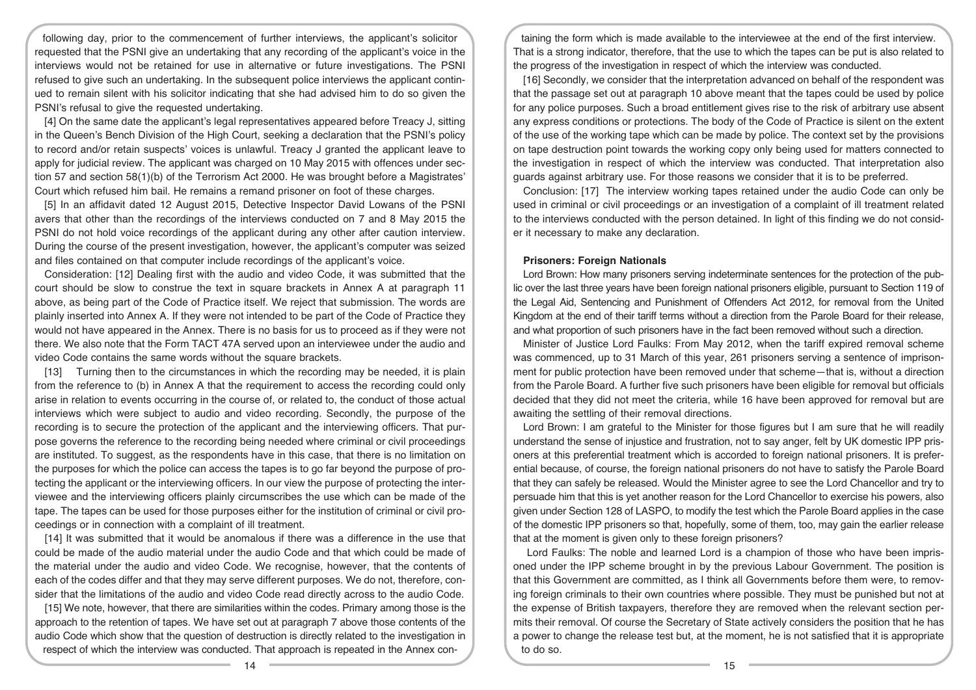following day, prior to the commencement of further interviews, the applicant's solicitor requested that the PSNI give an undertaking that any recording of the applicant's voice in the interviews would not be retained for use in alternative or future investigations. The PSNI refused to give such an undertaking. In the subsequent police interviews the applicant continued to remain silent with his solicitor indicating that she had advised him to do so given the PSNI's refusal to give the requested undertaking.

[4] On the same date the applicant's legal representatives appeared before Treacy J, sitting in the Queen's Bench Division of the High Court, seeking a declaration that the PSNI's policy to record and/or retain suspects' voices is unlawful. Treacy J granted the applicant leave to apply for judicial review. The applicant was charged on 10 May 2015 with offences under section 57 and section 58(1)(b) of the Terrorism Act 2000. He was brought before a Magistrates' Court which refused him bail. He remains a remand prisoner on foot of these charges.

[5] In an affidavit dated 12 August 2015, Detective Inspector David Lowans of the PSNI avers that other than the recordings of the interviews conducted on 7 and 8 May 2015 the PSNI do not hold voice recordings of the applicant during any other after caution interview. During the course of the present investigation, however, the applicant's computer was seized and files contained on that computer include recordings of the applicant's voice.

Consideration: [12] Dealing first with the audio and video Code, it was submitted that the court should be slow to construe the text in square brackets in Annex A at paragraph 11 above, as being part of the Code of Practice itself. We reject that submission. The words are plainly inserted into Annex A. If they were not intended to be part of the Code of Practice they would not have appeared in the Annex. There is no basis for us to proceed as if they were not there. We also note that the Form TACT 47A served upon an interviewee under the audio and video Code contains the same words without the square brackets.

[13] Turning then to the circumstances in which the recording may be needed, it is plain from the reference to (b) in Annex A that the requirement to access the recording could only arise in relation to events occurring in the course of, or related to, the conduct of those actual interviews which were subject to audio and video recording. Secondly, the purpose of the recording is to secure the protection of the applicant and the interviewing officers. That purpose governs the reference to the recording being needed where criminal or civil proceedings are instituted. To suggest, as the respondents have in this case, that there is no limitation on the purposes for which the police can access the tapes is to go far beyond the purpose of protecting the applicant or the interviewing officers. In our view the purpose of protecting the interviewee and the interviewing officers plainly circumscribes the use which can be made of the tape. The tapes can be used for those purposes either for the institution of criminal or civil proceedings or in connection with a complaint of ill treatment.

[14] It was submitted that it would be anomalous if there was a difference in the use that could be made of the audio material under the audio Code and that which could be made of the material under the audio and video Code. We recognise, however, that the contents of each of the codes differ and that they may serve different purposes. We do not, therefore, consider that the limitations of the audio and video Code read directly across to the audio Code.

[15] We note, however, that there are similarities within the codes. Primary among those is the approach to the retention of tapes. We have set out at paragraph 7 above those contents of the audio Code which show that the question of destruction is directly related to the investigation in respect of which the interview was conducted. That approach is repeated in the Annex con-

taining the form which is made available to the interviewee at the end of the first interview. That is a strong indicator, therefore, that the use to which the tapes can be put is also related to the progress of the investigation in respect of which the interview was conducted.

[16] Secondly, we consider that the interpretation advanced on behalf of the respondent was that the passage set out at paragraph 10 above meant that the tapes could be used by police for any police purposes. Such a broad entitlement gives rise to the risk of arbitrary use absent any express conditions or protections. The body of the Code of Practice is silent on the extent of the use of the working tape which can be made by police. The context set by the provisions on tape destruction point towards the working copy only being used for matters connected to the investigation in respect of which the interview was conducted. That interpretation also guards against arbitrary use. For those reasons we consider that it is to be preferred.

Conclusion: [17] The interview working tapes retained under the audio Code can only be used in criminal or civil proceedings or an investigation of a complaint of ill treatment related to the interviews conducted with the person detained. In light of this finding we do not consider it necessary to make any declaration.

#### **Prisoners: Foreign Nationals**

Lord Brown: How many prisoners serving indeterminate sentences for the protection of the public over the last three years have been foreign national prisoners eligible, pursuant to Section 119 of the Legal Aid, Sentencing and Punishment of Offenders Act 2012, for removal from the United Kingdom at the end of their tariff terms without a direction from the Parole Board for their release, and what proportion of such prisoners have in the fact been removed without such a direction.

Minister of Justice Lord Faulks: From May 2012, when the tariff expired removal scheme was commenced, up to 31 March of this year, 261 prisoners serving a sentence of imprisonment for public protection have been removed under that scheme—that is, without a direction from the Parole Board. A further five such prisoners have been eligible for removal but officials decided that they did not meet the criteria, while 16 have been approved for removal but are awaiting the settling of their removal directions.

Lord Brown: I am grateful to the Minister for those figures but I am sure that he will readily understand the sense of injustice and frustration, not to say anger, felt by UK domestic IPP prisoners at this preferential treatment which is accorded to foreign national prisoners. It is preferential because, of course, the foreign national prisoners do not have to satisfy the Parole Board that they can safely be released. Would the Minister agree to see the Lord Chancellor and try to persuade him that this is yet another reason for the Lord Chancellor to exercise his powers, also given under Section 128 of LASPO, to modify the test which the Parole Board applies in the case of the domestic IPP prisoners so that, hopefully, some of them, too, may gain the earlier release that at the moment is given only to these foreign prisoners?

Lord Faulks: The noble and learned Lord is a champion of those who have been imprisoned under the IPP scheme brought in by the previous Labour Government. The position is that this Government are committed, as I think all Governments before them were, to removing foreign criminals to their own countries where possible. They must be punished but not at the expense of British taxpayers, therefore they are removed when the relevant section permits their removal. Of course the Secretary of State actively considers the position that he has a power to change the release test but, at the moment, he is not satisfied that it is appropriate to do so.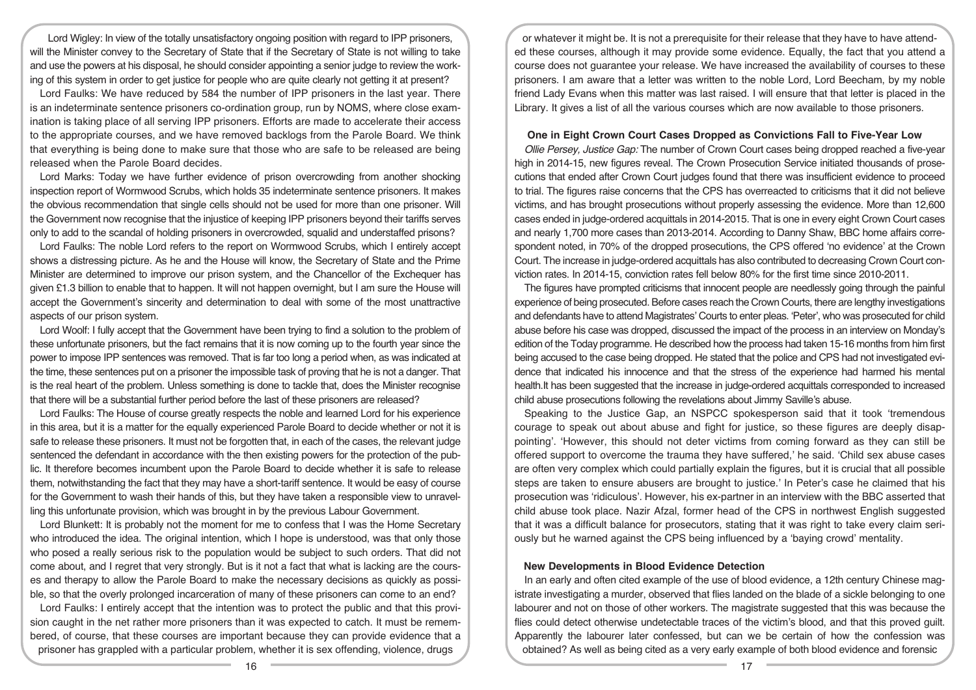Lord Wigley: In view of the totally unsatisfactory ongoing position with regard to IPP prisoners, will the Minister convey to the Secretary of State that if the Secretary of State is not willing to take and use the powers at his disposal, he should consider appointing a senior judge to review the working of this system in order to get justice for people who are quite clearly not getting it at present?

Lord Faulks: We have reduced by 584 the number of IPP prisoners in the last year. There is an indeterminate sentence prisoners co-ordination group, run by NOMS, where close examination is taking place of all serving IPP prisoners. Efforts are made to accelerate their access to the appropriate courses, and we have removed backlogs from the Parole Board. We think that everything is being done to make sure that those who are safe to be released are being released when the Parole Board decides.

Lord Marks: Today we have further evidence of prison overcrowding from another shocking inspection report of Wormwood Scrubs, which holds 35 indeterminate sentence prisoners. It makes the obvious recommendation that single cells should not be used for more than one prisoner. Will the Government now recognise that the injustice of keeping IPP prisoners beyond their tariffs serves only to add to the scandal of holding prisoners in overcrowded, squalid and understaffed prisons?

Lord Faulks: The noble Lord refers to the report on Wormwood Scrubs, which I entirely accept shows a distressing picture. As he and the House will know, the Secretary of State and the Prime Minister are determined to improve our prison system, and the Chancellor of the Exchequer has given £1.3 billion to enable that to happen. It will not happen overnight, but I am sure the House will accept the Government's sincerity and determination to deal with some of the most unattractive aspects of our prison system.

Lord Woolf: I fully accept that the Government have been trying to find a solution to the problem of these unfortunate prisoners, but the fact remains that it is now coming up to the fourth year since the power to impose IPP sentences was removed. That is far too long a period when, as was indicated at the time, these sentences put on a prisoner the impossible task of proving that he is not a danger. That is the real heart of the problem. Unless something is done to tackle that, does the Minister recognise that there will be a substantial further period before the last of these prisoners are released?

Lord Faulks: The House of course greatly respects the noble and learned Lord for his experience in this area, but it is a matter for the equally experienced Parole Board to decide whether or not it is safe to release these prisoners. It must not be forgotten that, in each of the cases, the relevant judge sentenced the defendant in accordance with the then existing powers for the protection of the public. It therefore becomes incumbent upon the Parole Board to decide whether it is safe to release them, notwithstanding the fact that they may have a short-tariff sentence. It would be easy of course for the Government to wash their hands of this, but they have taken a responsible view to unravelling this unfortunate provision, which was brought in by the previous Labour Government.

Lord Blunkett: It is probably not the moment for me to confess that I was the Home Secretary who introduced the idea. The original intention, which I hope is understood, was that only those who posed a really serious risk to the population would be subject to such orders. That did not come about, and I regret that very strongly. But is it not a fact that what is lacking are the courses and therapy to allow the Parole Board to make the necessary decisions as quickly as possible, so that the overly prolonged incarceration of many of these prisoners can come to an end?

Lord Faulks: I entirely accept that the intention was to protect the public and that this provision caught in the net rather more prisoners than it was expected to catch. It must be remembered, of course, that these courses are important because they can provide evidence that a prisoner has grappled with a particular problem, whether it is sex offending, violence, drugs

or whatever it might be. It is not a prerequisite for their release that they have to have attended these courses, although it may provide some evidence. Equally, the fact that you attend a course does not guarantee your release. We have increased the availability of courses to these prisoners. I am aware that a letter was written to the noble Lord, Lord Beecham, by my noble friend Lady Evans when this matter was last raised. I will ensure that that letter is placed in the Library. It gives a list of all the various courses which are now available to those prisoners.

## **One in Eight Crown Court Cases Dropped as Convictions Fall to Five-Year Low**

*Ollie Persey, Justice Gap:* The number of Crown Court cases being dropped reached a five-year high in 2014-15, new figures reveal. The Crown Prosecution Service initiated thousands of prosecutions that ended after Crown Court judges found that there was insufficient evidence to proceed to trial. The figures raise concerns that the CPS has overreacted to criticisms that it did not believe victims, and has brought prosecutions without properly assessing the evidence. More than 12,600 cases ended in judge-ordered acquittals in 2014-2015. That is one in every eight Crown Court cases and nearly 1,700 more cases than 2013-2014. According to Danny Shaw, BBC home affairs correspondent noted, in 70% of the dropped prosecutions, the CPS offered 'no evidence' at the Crown Court. The increase in judge-ordered acquittals has also contributed to decreasing Crown Court conviction rates. In 2014-15, conviction rates fell below 80% for the first time since 2010-2011.

The figures have prompted criticisms that innocent people are needlessly going through the painful experience of being prosecuted. Before cases reach the Crown Courts, there are lengthy investigations and defendants have to attend Magistrates' Courts to enter pleas. 'Peter', who was prosecuted for child abuse before his case was dropped, discussed the impact of the process in an interview on Monday's edition of the Today programme. He described how the process had taken 15-16 months from him first being accused to the case being dropped. He stated that the police and CPS had not investigated evidence that indicated his innocence and that the stress of the experience had harmed his mental health.It has been suggested that the increase in judge-ordered acquittals corresponded to increased child abuse prosecutions following the revelations about Jimmy Saville's abuse.

Speaking to the Justice Gap, an NSPCC spokesperson said that it took 'tremendous courage to speak out about abuse and fight for justice, so these figures are deeply disappointing'. 'However, this should not deter victims from coming forward as they can still be offered support to overcome the trauma they have suffered,' he said. 'Child sex abuse cases are often very complex which could partially explain the figures, but it is crucial that all possible steps are taken to ensure abusers are brought to justice.' In Peter's case he claimed that his prosecution was 'ridiculous'. However, his ex-partner in an interview with the BBC asserted that child abuse took place. Nazir Afzal, former head of the CPS in northwest English suggested that it was a difficult balance for prosecutors, stating that it was right to take every claim seriously but he warned against the CPS being influenced by a 'baying crowd' mentality.

#### **New Developments in Blood Evidence Detection**

In an early and often cited example of the use of blood evidence, a 12th century Chinese magistrate investigating a murder, observed that flies landed on the blade of a sickle belonging to one labourer and not on those of other workers. The magistrate suggested that this was because the flies could detect otherwise undetectable traces of the victim's blood, and that this proved guilt. Apparently the labourer later confessed, but can we be certain of how the confession was obtained? As well as being cited as a very early example of both blood evidence and forensic